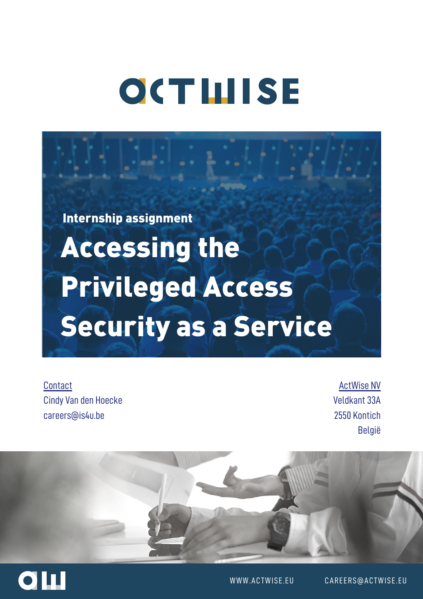# **OCTHISE**

Internship assignment

Accessing the Privileged Access Security as a Service

**Contact** Cindy Van den Hoecke careers@is4u.be

ActWise NV Veldkant 33A 2550 Kontich België





WWW.ACTWISE.EU CAREERS@ACTWISE.EU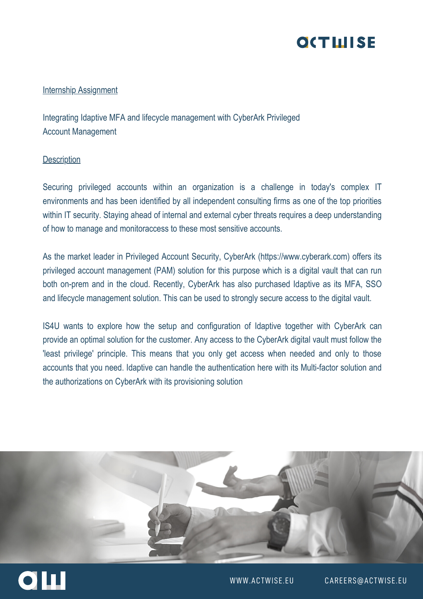# **OCTLIISE**

## **Internship Assignment**

Integrating Idaptive MFA and lifecycle management with CyberArk Privileged Account Management

#### **Description**

Securing privileged accounts within an organization is a challenge in today's complex IT environments and has been identified by all independent consulting firms as one of the top priorities within IT security. Staying ahead of internal and external cyber threats requires a deep understanding of how to manage and monitoraccess to these most sensitive accounts.

As the market leader in Privileged Account Security, CyberArk (https://www.cyberark.com) offers its privileged account management (PAM) solution for this purpose which is a digital vault that can run both on-prem and in the cloud. Recently, CyberArk has also purchased Idaptive as its MFA, SSO and lifecycle management solution. This can be used to strongly secure access to the digital vault.

IS4U wants to explore how the setup and configuration of Idaptive together with CyberArk can provide an optimal solution for the customer. Any access to the CyberArk digital vault must follow the 'least privilege' principle. This means that you only get access when needed and only to those accounts that you need. Idaptive can handle the authentication here with its Multi-factor solution and the authorizations on CyberArk with its provisioning solution